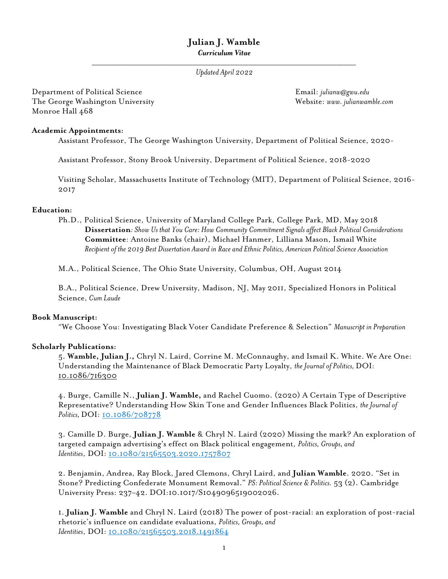# **Julian J. Wamble** *Curriculum Vitae*

*\_\_\_\_\_\_\_\_\_\_\_\_\_\_\_\_\_\_\_\_\_\_\_\_\_\_\_\_\_\_\_\_\_\_\_\_\_\_\_\_\_\_\_\_\_\_\_\_\_\_\_\_\_\_\_\_\_\_\_\_\_\_\_\_\_\_\_\_\_\_\_\_\_\_\_\_\_\_\_\_\_\_\_\_ Updated April 2022*

Department of Political Science Email: *julianw@gwu.edu* The George Washington University Website: *www. julianwamble.com* Monroe Hall 468

## **Academic Appointments:**

Assistant Professor, The George Washington University, Department of Political Science, 2020-

Assistant Professor, Stony Brook University, Department of Political Science, 2018-2020

Visiting Scholar, Massachusetts Institute of Technology (MIT), Department of Political Science, 2016- 2017

## **Education:**

Ph.D., Political Science, University of Maryland College Park, College Park, MD, May 2018 **Dissertation***: Show Us that You Care: How Community Commitment Signals affect Black Political Considerations* **Committee**: Antoine Banks (chair), Michael Hanmer, Lilliana Mason, Ismail White *Recipient of the 2019 Best Dissertation Award in Race and Ethnic Politics, American Political Science Association* 

M.A., Political Science, The Ohio State University, Columbus, OH, August 2014

B.A., Political Science, Drew University, Madison, NJ, May 2011, Specialized Honors in Political Science, *Cum Laude*

### **Book Manuscript:**

"We Choose You: Investigating Black Voter Candidate Preference & Selection" *Manuscript in Preparation*

## **Scholarly Publications:**

5. **Wamble, Julian J.,** Chryl N. Laird, Corrine M. McConnaughy, and Ismail K. White. We Are One: Understanding the Maintenance of Black Democratic Party Loyalty, *the Journalof Politics,* DOI: 10.1086/716300

4. Burge, Camille N., **Julian J. Wamble,** and Rachel Cuomo. (2020) A Certain Type of Descriptive Representative? Understanding How Skin Tone and Gender Influences Black Politics, *the Journal of*  Politics, DOI: 10.1086/708778

3. Camille D. Burge, **Julian J. Wamble** & Chryl N. Laird (2020) Missing the mark? An exploration of targeted campaign advertising's effect on Black political engagement, *Politics, Groups, and Identities*, DOI: 10.1080/21565503.2020.1757807

2. Benjamin, Andrea, Ray Block, Jared Clemons, Chryl Laird, and **Julian Wamble**. 2020. "Set in Stone? Predicting Confederate Monument Removal." *PS: Political Science & Politics.* 53 (2). Cambridge University Press: 237–42. DOI:10.1017/S1049096519002026.

1. **Julian J. Wamble** and Chryl N. Laird (2018) The power of post-racial: an exploration of post-racial rhetoric's influence on candidate evaluations, *Politics, Groups, and Identities*, DOI: 10.1080/21565503.2018.1491864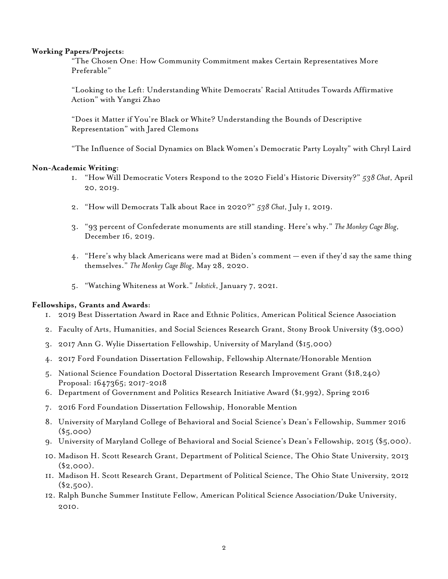## **Working Papers/Projects:**

"The Chosen One: How Community Commitment makes Certain Representatives More Preferable"

"Looking to the Left: Understanding White Democrats' Racial Attitudes Towards Affirmative Action" with Yangzi Zhao

"Does it Matter if You're Black or White? Understanding the Bounds of Descriptive Representation" with Jared Clemons

"The Influence of Social Dynamics on Black Women's Democratic Party Loyalty" with Chryl Laird

## **Non-Academic Writing:**

- 1. "How Will Democratic Voters Respond to the 2020 Field's Historic Diversity?" *538 Chat*, April 20, 2019.
- 2. "How will Democrats Talk about Race in 2020?" *538 Chat*, July 1, 2019.
- 3. "93 percent of Confederate monuments are still standing. Here's why." *The Monkey Cage Blog*, December 16, 2019.
- 4. "Here's why black Americans were mad at Biden's comment even if they'd say the same thing themselves." *The Monkey Cage Blog*, May 28, 2020.
- 5. "Watching Whiteness at Work." *Inkstick*, January 7, 2021.

### **Fellowships, Grants and Awards:**

- 1. 2019 Best Dissertation Award in Race and Ethnic Politics, American Political Science Association
- 2. Faculty of Arts, Humanities, and Social Sciences Research Grant, Stony Brook University (\$3,000)
- 3. 2017 Ann G. Wylie Dissertation Fellowship, University of Maryland (\$15,000)
- 4. 2017 Ford Foundation Dissertation Fellowship, Fellowship Alternate/Honorable Mention
- 5. National Science Foundation Doctoral Dissertation Research Improvement Grant (\$18,240) Proposal: 1647365; 2017-2018
- 6. Department of Government and Politics Research Initiative Award (\$1,992), Spring 2016
- 7. 2016 Ford Foundation Dissertation Fellowship, Honorable Mention
- 8. University of Maryland College of Behavioral and Social Science's Dean's Fellowship, Summer 2016  $($5,000)$
- 9. University of Maryland College of Behavioral and Social Science's Dean's Fellowship, 2015 (\$5,000).
- 10. Madison H. Scott Research Grant, Department of Political Science, The Ohio State University, 2013  $($2,000).$
- 11. Madison H. Scott Research Grant, Department of Political Science, The Ohio State University, 2012  $($2,500).$
- 12. Ralph Bunche Summer Institute Fellow, American Political Science Association/Duke University, 2010.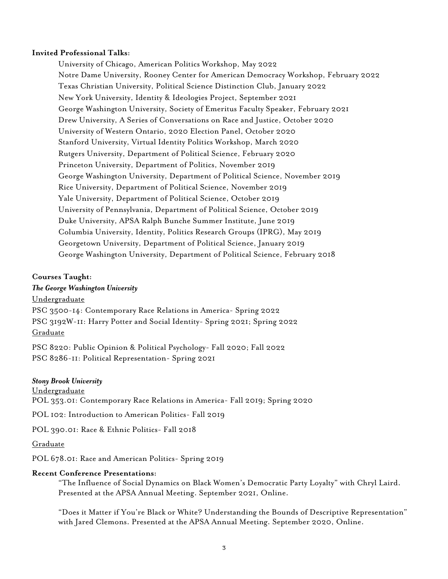## **Invited Professional Talks:**

University of Chicago, American Politics Workshop, May 2022 Notre Dame University, Rooney Center for American Democracy Workshop, February 2022 Texas Christian University, Political Science Distinction Club, January 2022 New York University, Identity & Ideologies Project, September 2021 George Washington University, Society of Emeritus Faculty Speaker, February 2021 Drew University, A Series of Conversations on Race and Justice, October 2020 University of Western Ontario, 2020 Election Panel, October 2020 Stanford University, Virtual Identity Politics Workshop, March 2020 Rutgers University, Department of Political Science, February 2020 Princeton University, Department of Politics, November 2019 George Washington University, Department of Political Science, November 2019 Rice University, Department of Political Science, November 2019 Yale University, Department of Political Science, October 2019 University of Pennsylvania, Department of Political Science, October 2019 Duke University, APSA Ralph Bunche Summer Institute, June 2019 Columbia University, Identity, Politics Research Groups (IPRG), May 2019 Georgetown University, Department of Political Science, January 2019 George Washington University, Department of Political Science, February 2018

### **Courses Taught:**

## *The George Washington University*

Undergraduate

PSC 3500-14: Contemporary Race Relations in America- Spring 2022 PSC 3192W-11: Harry Potter and Social Identity- Spring 2021; Spring 2022 Graduate

PSC 8220: Public Opinion & Political Psychology- Fall 2020; Fall 2022 PSC 8286-11: Political Representation- Spring 2021

#### *Stony Brook University*

Undergraduate

POL 353.01: Contemporary Race Relations in America- Fall 2019; Spring 2020

POL 102: Introduction to American Politics- Fall 2019

POL 390.01: Race & Ethnic Politics- Fall 2018

Graduate

POL 678.01: Race and American Politics- Spring 2019

#### **Recent Conference Presentations:**

"The Influence of Social Dynamics on Black Women's Democratic Party Loyalty" with Chryl Laird. Presented at the APSA Annual Meeting. September 2021, Online.

"Does it Matter if You're Black or White? Understanding the Bounds of Descriptive Representation" with Jared Clemons. Presented at the APSA Annual Meeting. September 2020, Online.